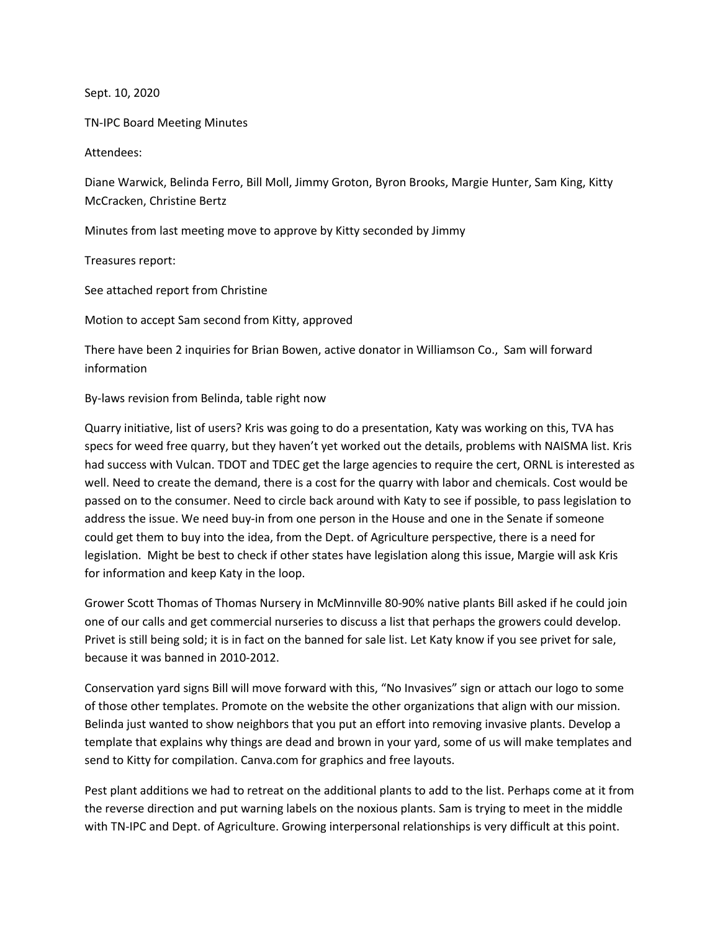Sept. 10, 2020

TN-IPC Board Meeting Minutes

Attendees:

Diane Warwick, Belinda Ferro, Bill Moll, Jimmy Groton, Byron Brooks, Margie Hunter, Sam King, Kitty McCracken, Christine Bertz

Minutes from last meeting move to approve by Kitty seconded by Jimmy

Treasures report:

See attached report from Christine

Motion to accept Sam second from Kitty, approved

There have been 2 inquiries for Brian Bowen, active donator in Williamson Co., Sam will forward information

By-laws revision from Belinda, table right now

Quarry initiative, list of users? Kris was going to do a presentation, Katy was working on this, TVA has specs for weed free quarry, but they haven't yet worked out the details, problems with NAISMA list. Kris had success with Vulcan. TDOT and TDEC get the large agencies to require the cert, ORNL is interested as well. Need to create the demand, there is a cost for the quarry with labor and chemicals. Cost would be passed on to the consumer. Need to circle back around with Katy to see if possible, to pass legislation to address the issue. We need buy-in from one person in the House and one in the Senate if someone could get them to buy into the idea, from the Dept. of Agriculture perspective, there is a need for legislation. Might be best to check if other states have legislation along this issue, Margie will ask Kris for information and keep Katy in the loop.

Grower Scott Thomas of Thomas Nursery in McMinnville 80-90% native plants Bill asked if he could join one of our calls and get commercial nurseries to discuss a list that perhaps the growers could develop. Privet is still being sold; it is in fact on the banned for sale list. Let Katy know if you see privet for sale, because it was banned in 2010-2012.

Conservation yard signs Bill will move forward with this, "No Invasives" sign or attach our logo to some of those other templates. Promote on the website the other organizations that align with our mission. Belinda just wanted to show neighbors that you put an effort into removing invasive plants. Develop a template that explains why things are dead and brown in your yard, some of us will make templates and send to Kitty for compilation. Canva.com for graphics and free layouts.

Pest plant additions we had to retreat on the additional plants to add to the list. Perhaps come at it from the reverse direction and put warning labels on the noxious plants. Sam is trying to meet in the middle with TN-IPC and Dept. of Agriculture. Growing interpersonal relationships is very difficult at this point.